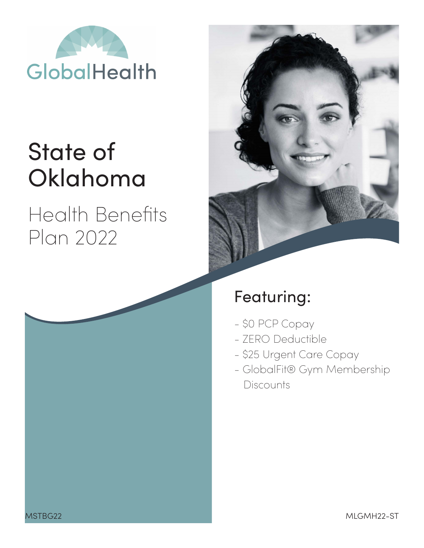

# State of Oklahoma

## Health Benefits Plan 2022



## Featuring:

- \$0 PCP Copay
- ZERO Deductible
- \$25 Urgent Care Copay
- GlobalFit® Gym Membership **Discounts**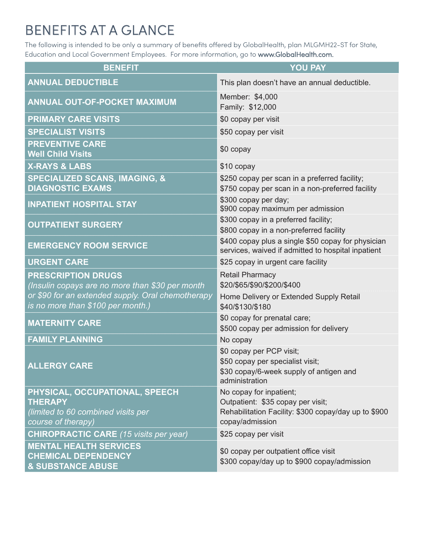## BENEFITS AT A GLANCE

The following is intended to be only a summary of benefits offered by GlobalHealth, plan MLGMH22-ST for State, Education and Local Government Employees. For more information, go to www.GlobalHealth.com.

| <b>BENEFIT</b>                                                                                               | <b>YOU PAY</b>                                                                                                                          |  |  |
|--------------------------------------------------------------------------------------------------------------|-----------------------------------------------------------------------------------------------------------------------------------------|--|--|
| <b>ANNUAL DEDUCTIBLE</b>                                                                                     | This plan doesn't have an annual deductible.                                                                                            |  |  |
| <b>ANNUAL OUT-OF-POCKET MAXIMUM</b>                                                                          | Member: \$4,000<br>Family: \$12,000                                                                                                     |  |  |
| <b>PRIMARY CARE VISITS</b>                                                                                   | \$0 copay per visit                                                                                                                     |  |  |
| <b>SPECIALIST VISITS</b>                                                                                     | \$50 copay per visit                                                                                                                    |  |  |
| <b>PREVENTIVE CARE</b><br><b>Well Child Visits</b>                                                           | \$0 copay                                                                                                                               |  |  |
| <b>X-RAYS &amp; LABS</b>                                                                                     | \$10 copay                                                                                                                              |  |  |
| <b>SPECIALIZED SCANS, IMAGING, &amp;</b><br><b>DIAGNOSTIC EXAMS</b>                                          | \$250 copay per scan in a preferred facility;<br>\$750 copay per scan in a non-preferred facility                                       |  |  |
| <b>INPATIENT HOSPITAL STAY</b>                                                                               | \$300 copay per day;<br>\$900 copay maximum per admission                                                                               |  |  |
| <b>OUTPATIENT SURGERY</b>                                                                                    | \$300 copay in a preferred facility;<br>\$800 copay in a non-preferred facility                                                         |  |  |
| <b>EMERGENCY ROOM SERVICE</b>                                                                                | \$400 copay plus a single \$50 copay for physician<br>services, waived if admitted to hospital inpatient                                |  |  |
| <b>URGENT CARE</b>                                                                                           | \$25 copay in urgent care facility                                                                                                      |  |  |
| <b>PRESCRIPTION DRUGS</b><br>(Insulin copays are no more than \$30 per month                                 | <b>Retail Pharmacy</b><br>\$20/\$65/\$90/\$200/\$400                                                                                    |  |  |
| or \$90 for an extended supply. Oral chemotherapy<br>is no more than \$100 per month.)                       | Home Delivery or Extended Supply Retail<br>\$40/\$130/\$180                                                                             |  |  |
| <b>MATERNITY CARE</b>                                                                                        | \$0 copay for prenatal care;<br>\$500 copay per admission for delivery                                                                  |  |  |
| <b>FAMILY PLANNING</b>                                                                                       | No copay                                                                                                                                |  |  |
| <b>ALLERGY CARE</b>                                                                                          | \$0 copay per PCP visit;<br>\$50 copay per specialist visit;<br>\$30 copay/6-week supply of antigen and<br>administration               |  |  |
| PHYSICAL, OCCUPATIONAL, SPEECH<br><b>THERAPY</b><br>(limited to 60 combined visits per<br>course of therapy) | No copay for inpatient;<br>Outpatient: \$35 copay per visit;<br>Rehabilitation Facility: \$300 copay/day up to \$900<br>copay/admission |  |  |
| <b>CHIROPRACTIC CARE</b> (15 visits per year)                                                                | \$25 copay per visit                                                                                                                    |  |  |
| <b>MENTAL HEALTH SERVICES</b><br><b>CHEMICAL DEPENDENCY</b><br><b>&amp; SUBSTANCE ABUSE</b>                  | \$0 copay per outpatient office visit<br>\$300 copay/day up to \$900 copay/admission                                                    |  |  |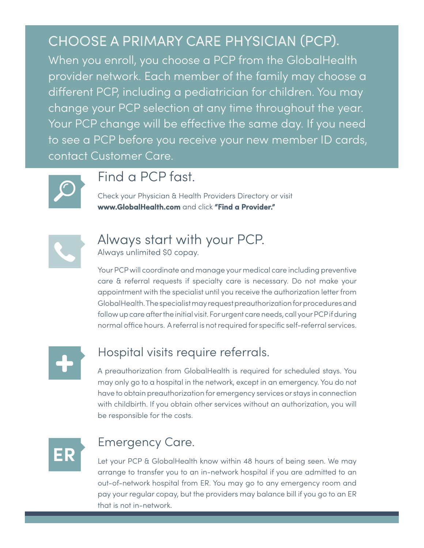## CHOOSE A PRIMARY CARE PHYSICIAN (PCP).

When you enroll, you choose a PCP from the GlobalHealth provider network. Each member of the family may choose a different PCP, including a pediatrician for children. You may change your PCP selection at any time throughout the year. Your PCP change will be effective the same day. If you need to see a PCP before you receive your new member ID cards, contact Customer Care.



## Find a PCP fast.

Check your Physician & Health Providers Directory or visit **www.GlobalHealth.com** and click **"Find a Provider."**



## Always start with your PCP.

Always unlimited \$0 copay.

Your PCP will coordinate and manage your medical care including preventive care & referral requests if specialty care is necessary. Do not make your appointment with the specialist until you receive the authorization letter from GlobalHealth. The specialist may request preauthorization for procedures and follow up care after the initial visit. For urgent care needs, call your PCP if during normal office hours. A referral is not required for specific self-referral services.



### Hospital visits require referrals.

A preauthorization from GlobalHealth is required for scheduled stays. You may only go to a hospital in the network, except in an emergency. You do not have to obtain preauthorization for emergency services or stays in connection with childbirth. If you obtain other services without an authorization, you will be responsible for the costs.



## Emergency Care.

Let your PCP & GlobalHealth know within 48 hours of being seen. We may arrange to transfer you to an in-network hospital if you are admitted to an out-of-network hospital from ER. You may go to any emergency room and pay your regular copay, but the providers may balance bill if you go to an ER that is not in-network.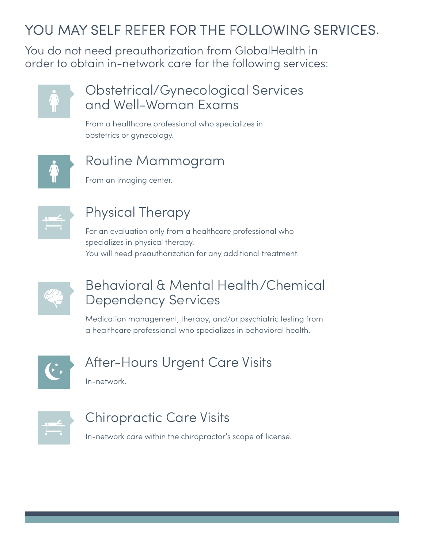## YOU MAY SELF REFER FOR THE FOLLOWING SERVICES.

You do not need preauthorization from GlobalHealth in order to obtain in-network care for the following services:



## Obstetrical/Gynecological Services and Well-Woman Exams

From a healthcare professional who specializes in obstetrics or gynecology.



## Routine Mammogram

From an imaging center.



## Physical Therapy

For an evaluation only from a healthcare professional who specializes in physical therapy. You will need preauthorization for any additional treatment.



## Behavioral & Mental Health/Chemical Dependency Services

Medication management, therapy, and/or psychiatric testing from a healthcare professional who specializes in behavioral health.



## After-Hours Urgent Care Visits

In-network.



## Chiropractic Care Visits

In-network care within the chiropractor's scope of license.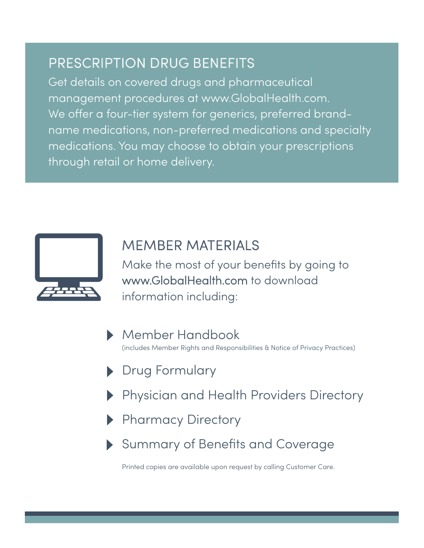## PRESCRIPTION DRUG BENEFITS

Get details on covered drugs and pharmaceutical management procedures at www.GlobalHealth.com. We offer a four-tier system for generics, preferred brandname medications, non-preferred medications and specialty medications. You may choose to obtain your prescriptions through retail or home delivery.



## MEMBER MATERIALS

Make the most of your benefits by going to www.GlobalHealth.com to download information including:

- Member Handbook (includes Member Rights and Responsibilities & Notice of Privacy Practices)
- Drug Formulary
- Physician and Health Providers Directory
- Pharmacy Directory
- Summary of Benefits and Coverage

Printed copies are available upon request by calling Customer Care.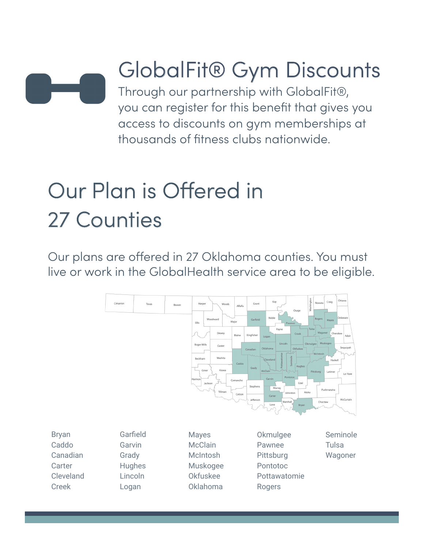

# GlobalFit® Gym Discounts

Through our partnership with GlobalFit®, you can register for this benefit that gives you access to discounts on gym memberships at thousands of fitness clubs nationwide.

# Our Plan is Offered in 27 Counties

Our plans are offered in 27 Oklahoma counties. You must live or work in the GlobalHealth service area to be eligible.

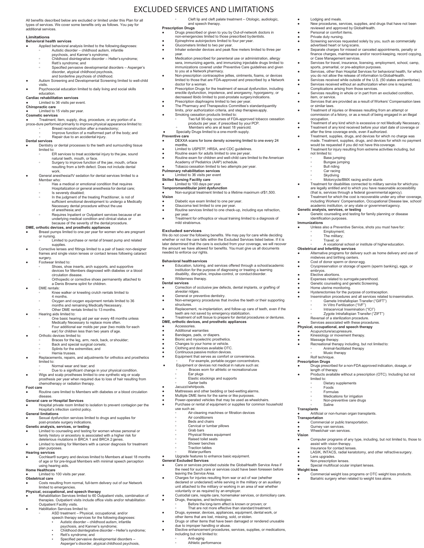### All benefits described below are excluded or limited under this Plan for all types of services. We cover some benefits only as follows. You pay for additional services.

#### **Limitations Behavioral health services**

- 
- Applied behavioral analysis limited to the following diagnoses: **◦** Autistic disorder childhood autism, infantile psychosis, and Kanner's syndrome; **◦** Childhood disintegrative disorder – Heller's syndrome;
	-
	- **Rett's syndrome: and ◦** Specified pervasive developmental disorders – Asperger's disorder, atypical childhood psychosis,
- and borderline psychosis of childhood. Autism Screening and Developmental Screening limited to well-child visits.
- 
- Psychosocial education limited to daily living and social skills education.

### **Cardiac rehabilitation services**

#### Limited to 36 visits per event. **Chiropractic care**

**●** Limited to 15 visits per year.

### **Cosmetic services**

- 
- Treatment, item, supply, drug, procedure, or any portion of a<br>proce-dure performed primarily to improve physical appearance limited to:<br>○ Breast reconstruction after a mastectomy;
	-
- **◦** Improve function of a malformed part of the body; and **◦** Repair due to an accidental injury.

### **Dental services**

- Dentistry or dental processes to the teeth and surrounding tissue
	- limited to:<br>◦ ER services to treat accidental injury to the jaw, sound<br>natural teeth, mouth, or face.
	- **◦** Surgery to improve function of the jaw, mouth, orface resulting from a birth defect. Does not include dental work.
- **●** General anesthesia/IV sedation for dental services limited to a Member who:
	- **Has a medical or emotional condition that requires** Hospitalization or general anesthesia for dental care;
	- **◦** Is severely disabled; **in the judgment of the treating Practitioner, is not of**
	- sufficient emotional development to undergo a Medically Necessary dental procedure without the use of anesthesia;and
	- **◦** Requires Inpatient or Outpatient services because of an underlying medical condition and clinical status or because of the severity of the dental procedure.
	-
- **DME, orthotic devices, and prosthetic appliances<br>● Breast pumps limited to one per year for women who are pregnant** 
	- or nursing.<br>◦ Limited to purchase or rental of breast pump and related<br>supplies.
- **●** Corrective lenses and fittings limited to a pair of basic non-designer frames and single vision lenses or contact lenses following cataract surgery.
- **Footwear limited to:** 
	- **◦** Shoes, shoe inserts, arch supports, and supportive devices for Members diagnosed with diabetes or a blood circulation disease.
	- **◦** Orthopedic or corrective shoes permanently attached to a Denis Browne splint for children.
- DME rentals:
- **◦** Knee walker or kneeling crutch rentals limited to 4 months.
	-
	- **◦** Oxygen and oxygen equipment rentals limited to 36 months and remaining Medically Necessary.
- **◦** Other DME rentals limited to 13 months. and Hearing aids limited to:
- **◦** One basic hearing aid per ear every 48 months unless
	- Medically Necessary to replace more often. **◦** Four additional ear molds per year (two molds for each
- ear) for children less than two years of age.
- 
- Orthotic devices limited to:<br>△ Braces for the leg, arm, neck, back, or shoulder;
	- **◦** Back and special surgical corsets; **◦** Splints for the extremities; and
	- **◦** Hernia trusses.
- Replacements, repairs, and adjustments for orthotics and prosthetics limited to:
	- **◦** Normal wear and tear; and
	-
- **◦** Due to a significant change in your physical condition. Wigs and scalp prostheses limited to one synthetic wig or scalp prosthesis per year when required due to loss of hair resulting from chemotherapy or radiation therapy.

### **Foot care**

Routine care limited to Members with diabetes or a blood circulation disease.

### **General care or Hospital Services**

● Hospital private room limited to isolation to prevent contagion per the Hospital's infection control policy.

### **General limitations**

● Sexual dysfunction services limited to drugs and supplies for post-prostate surgery indications.

- **Genetic analysis, services, or testing** Limited to counseling and testing for women whose personal or family history or ancestory is associated with a higher risk for
- deleterious mutations in BRCA 1 and BRCA 2 genes. Limited to testing for Members with a cancer diagnosis for treatment
- plan purposes.
- **Hearing services** ● Cochlear® surgery and devices limited to Members at least 18 months of age or for pre-lingual Members with minimal speech perception

### using hearing aids.

- **Home Healthcare** Limited to 100 visits per year.
- **Obstetrical care**

### ical care<br>Costs resulting from normal, full-term delivery out of our Network

### **Physical, l**imited to emergencies.<br>**Physical, occupational, and speech therapy**<br>● Rehabilitation Services limited to 60 Outpatient visits, combination of

- therapies. Outpatient visits include office visits and/or rehabilitation Outpatient Facility visits.
- Habilitation Services limited to:
	-
	- **◦** ASD treatment Physical, occupational, and/or speech therapy services for the following diagnoses:
		- Autistic disorder childhood autism, infantile psychosis, and Kanner's syndrome;
		- Childhood disintegrative disorder Heller's syndrome; Rett's syndrome; and
		- Specified pervasive developmental disorders –
		-
		- Asperger's disorder, atypical childhood psychosis,

**◦** Cleft lip and cleft palate treatment – Otologic, audiologic, and speech therapy. **Prescription Drugs**

Lodging and meals.

item, or service.

or similar laws.

occupation.

not limited to: **◦** Base jumping **◦** Bungee jumping **◦** Bull riding **◦** Car racing **◦** Skydiving

identification purposes.

embryos. ● Elective abortions.

Employment;<br>The military; **◦** Travel; or

Cost of donor sperm or donor egg.

● Expenses related to surrogate parenthood. ● Genetic counseling and genetic Screening. ● Home uterine monitoring. Frome dienne memering.<br>Hysterectomies for the purpose of contraception. Insemination procedures and all services related to insemination.

Reversal of a sterilization procedure. Services associated with these procedures. **Physical, occupational, and speech therapy** Acupuncture/acupressure. ● Kinesiology or movement therapy. ● Massage therapy.

**◦** Animal-facilitated therapy **◦** Music therapy

**◦** Dietary supplements **◦** Foods **◦** Formulas **◦** Medications for irrigation **◦** Non-preventive care drugs

Artificial or non-human organ transplants.

**Commercial or public transportation** Gurney van services. Wheelchair van services

● Rolf technique. **Prescription Drugs**

limited to:

**Transplants**

**Vision**

**Weight loss**

**Transportation**

**◦** Saline

assist with vision therapy. ● Insurance for contact lenses.

Lens upgrades. Non-prescription lenses Special multifocal ocular implant lenses.

reviewed and approved by GlobalHealth. Personal or comfort items Private duty nursing.

● New procedures, services, supplies, and drugs that have not been

Services that are provided as a result of Workers' Compensation laws

Treatment of any kind which is excessive or not Medically Necessary ● Treatment of any kind received before your start date of coverage or after the time coverage ends, even if authorized. ● Treatment, supplies, drugs, and devices for which no charge was made. Treatment, supplies, drugs, and devices for which no payment would be requested if you did not have this coverage. ● Treatment for injury resulting from extreme activities including, but

● Treatment of injuries or illnesses resulting from an attempt or commission of a felony, or as a result of being engaged in an illegal

ο Motorcycle/BMX racing and/or stunts<br>■ Treatment for disabilities connected to military service for which you<br>are legally entitled and to which you have reasonable accessibility<br>(that is, services through a federal gove ● Treatment for which the cost is recoverable under any other coverage, including Workers' Compensation, Occupational Disease law, school/ academic institution, or any state or governmentagency. **Genetic analysis, services, or testing** ● Genetic counseling and testing for family planning or disease

**Immunizations**<br>● Unless also a Preventive Service, shots you must have for:<br>◎ Employment;

**◦** A vocational school or institute of highereducation. **Obstetrical and Infertility services** ● Alternative programs for delivery such as home delivery and use of midwives and birthing centers.

> **◦** Gamete Intrafallopian Transfer ("GIFT") **◦** In Vitro Fertilization ("IVF") **Intracervical Insemination ("ICI" ◦** Zygote Intrafallopian Transfer ("ZIFT")

Recreational therapy including, but not limited to:

**Drugs prescribed for a non-FDA approved indication, dosage, or** length of therapy. ● Products available without a prescription (OTC). Including but not

Computer programs of any type, including, but not limited to, those to

LASIK, INTACS, radial keratotomy, and other refractive surgery.

● Commercial weight loss programs or OTC weight loss products. ● Bariatric surgery when related to weight loss alone.

Cryopreservation or storage of sperm (sperm banking), eggs, or

● Screening services requested solely by you, such as commercially advertised heart or lung scans. ● Separate charges for missed or canceled appointments, penalty or finance charges, maintenance and/or record-keeping, record copying, or Case Management services. ● Services for travel, insurance, licensing, employment, school, camp, sports, premarital, or pre-adoption purposes. ● Services, other than Hospital Services for behavioral health, for which you do not allow the release of information toGlobalHealth. ● Services received while outside of the U.S. (50 states andterritories). ● Services received without an authorization when one is required. Complications arising from those services. ● Services resulting in whole or in part from an excluded condition,

- Drugs prescribed or given to you by Out-of-network doctors in non-emergencies limited to those prescribed bydentists.
- Epinephrine autoinjectors limited to four per year.
- Glucometers limited to two per year. Inhaler extender devices and peak flow meters limited to three per

EXCLUDED SERVICES AND LIMITATIONS

- 
- year. Medication prescribed for parenteral use or administration, allergy sera, immunizing agents, and immunizing injectable drugs limited to immunizations covered under Preventive Care guidelines and given to you at a Network pharmacy. ● Non-prescription contraceptive jellies, ointments, foams, or devices
- limited to those that are FDA-approved and prescribed by a Network
- doctor for a woman. about for a woman:<br>Prescription Drugs for the treatment of sexual dysfunction, including
- erectile dysfunction, impotence, and anorgasmy, hyporgasmy, or decreased libido limited to post-prostate surgeryindications.
- Prescription diaphragms limited to two per year. The Pharmacy and Therapeutics Committee's standardquantity limits, prior authorization criteria, and step therapiesapply.
- Smoking cessation products limited to: **◦** Two full 90-day courses of FDA-approved tobacco cessation
- products per year, if prescribed by your PCP.<br>● Members who are at least 18 yearsold.<br>● Specialty Drugs limited to a one-month supply.
- **Preventive care**
- DEXXA scans for bone density screening limited to one every 24 months.

.<br>Treatment for orthoptics or visual training limited to a diagnosis of

**Education, tutoring, and services offered through a school/academic** institution for the purpose of diagnosing or treating a learning disability, disruptive, impulse-control, or conductdisorder.

correction of occlusive jaw defects, dental implants, or grafting of alveolar ridges. ● General or preventive dentistry. ● Non-emergency procedures that involve the teeth or their supporting

Replacement, re-implantation, and follow-up care of teeth, even if the teeth are not saved by emergency stabilization. ● Treatment of soft tissue to prepare for dental procedures or dentures.

We do not cover the following benefits. We may pay for care while deciding whether or not the care falls within the Excluded Services listed below. If it is later determined that the care is excluded from your coverage, we will recover the amount we have allowed for benefits. You must give us all documents needed to enforce our rights.

- 
- Limited to USPSTF, HRSA, and CDC guidelines. Routine exam for adults limited to one per year.
- Routine exam for children and well-child care limited to the American
- Academy of Pediatrics (AAP) schedule. Tobacco cessation limited to two attempts per year.
- **Pulmonary rehabilitation services**

### ted to 36 visits per event

- **Skilled Nursing Facility care**<br>● Limited to 100 days per year.<br>Temporomandibular joint dysfunction
- 
- Non-surgical treatment limited to a lifetime maximum of \$1,500.

### **Vision**

per year.

mild strabismus. **Excluded services**

**Behavioral healthservices**

Wilderness therapy. services

**DME, orthotic devices, and prosthetic appliances**

**Equipment that serves as comfort or convenience. ◦** For example, portable oxygen concentrators. ● Equipment or devices not medical in nature such as: **◦** Braces worn for athletic or recreationaluse

Mattresses and other bedding or bed-wetting alarms. ● Multiple DME items for the same or like purposes. ● Power-operated vehicles that may be used as wheelchairs.

**◦** Air-cleaning machines or filtration devices

Purchase or rental of equipment or supplies for common household

**Care or services provided outside the GlobalHealth Service Area if** the need for such care or services could have been foreseen before

Elective enhancement procedures, services, supplies, or medications,

● Charges for injuries resulting from war or act of war (whether declared or undeclared) while serving in the military or an auxiliary unit attached to the military or working in an area of war whether voluntarily or as required by an employer. ● Custodial care, respite care, homemaker services, or domiciliary care. ● Drugs, therapies, and technologies:<br>△ Before the long-term effect is known or proven; or<br>△ That are not more effective than standard treatment. ● Drugs, eyewear, devices, appliances, equipment, dental work, or other items that are lost, missing, sold, or stolen. Drugs or other items that have been damaged or rendered unusable

**◦** Ear plugs **◦** Elastic stockings and supports **◦** Garter belts ● Jacuzzi/whirlpools.

**◦** Air conditioners **◦** Beds and chairs **◦** Cervical or lumbar pillows **◦** Grab bars

leaving the Service Area.

due to improper handling or abuse.

including but not limited to: **◦** Anti-aging **◦** Athletic performance

**◦** Physical fitness equipment **◦** Raised toilet seats **◦** Shower benches **◦** Traction tables **◦** Waterpurifiers ● Upgrade features to enhance basic equipment. **General Excluded Services**

structures.

**Accessories** Additional warranties Bandages, pads, or diapers. ● Bionic and myoelectric prosthetics.<br>● Changes to your home or vehicle. ● Clothing and devices available OTC. ● Continuous passive motion devices.

use such as:

Diabetic eye exam limited to one per year. ● Glaucoma test limited to one per year. ● Routine services limited to one check-up, including eye refraction,